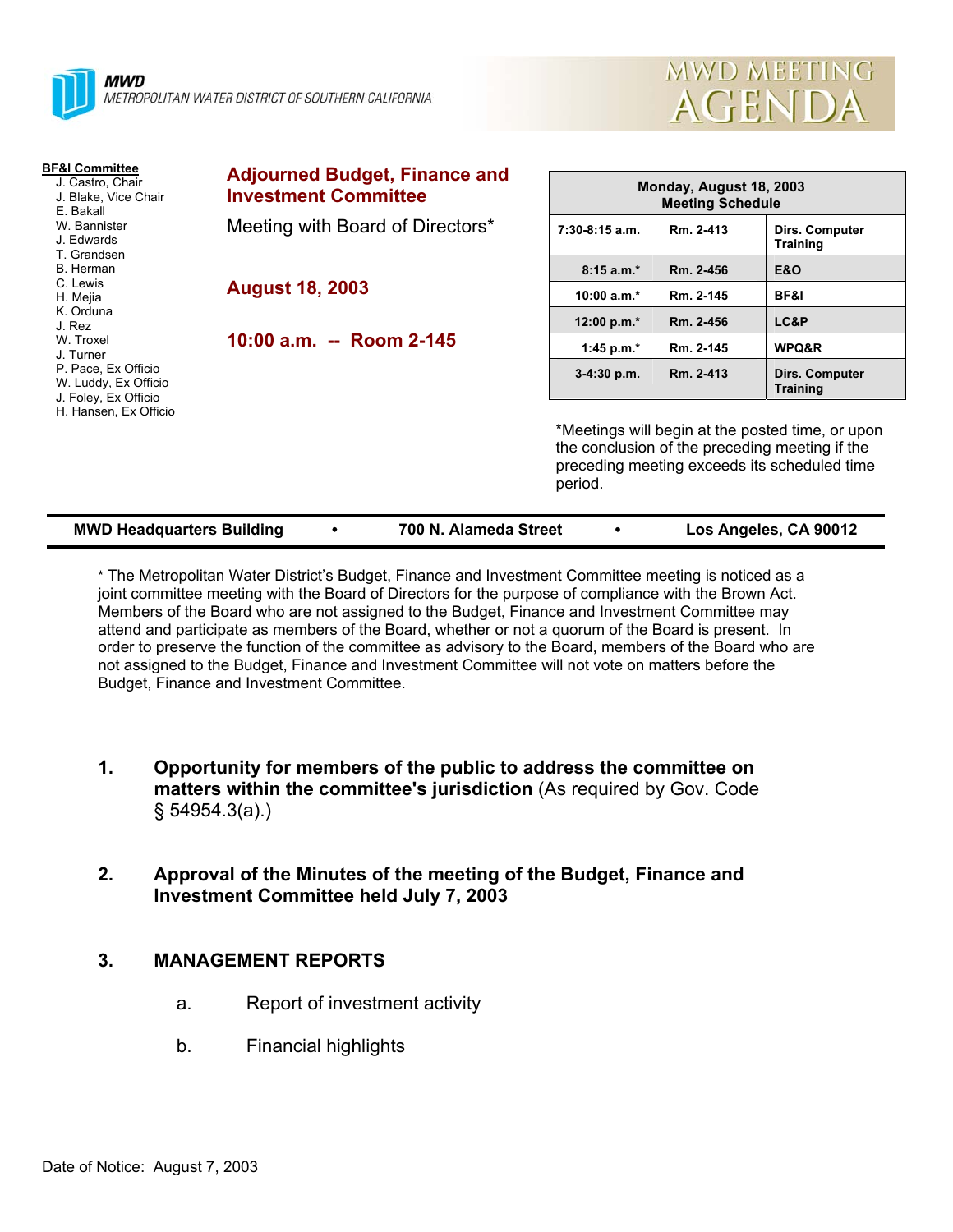



| <b>BF&amp;I Committee</b><br>J. Castro, Chair<br>J. Blake, Vice Chair<br>E. Bakall<br>W. Bannister<br>J. Edwards<br>T. Grandsen | <b>Adjourned Budget, Finance and</b><br><b>Investment Committee</b> | Monday, August 18, 2003<br><b>Meeting Schedule</b>                                                                                                            |           |                                   |  |
|---------------------------------------------------------------------------------------------------------------------------------|---------------------------------------------------------------------|---------------------------------------------------------------------------------------------------------------------------------------------------------------|-----------|-----------------------------------|--|
|                                                                                                                                 | Meeting with Board of Directors*                                    | $7:30-8:15$ a.m.                                                                                                                                              | Rm. 2-413 | Dirs. Computer<br><b>Training</b> |  |
| B. Herman                                                                                                                       |                                                                     | $8:15a.m.*$                                                                                                                                                   | Rm. 2-456 | <b>E&amp;O</b>                    |  |
| C. Lewis<br>H. Mejia                                                                                                            | <b>August 18, 2003</b>                                              | $10:00 a.m.*$                                                                                                                                                 | Rm. 2-145 | BF&I                              |  |
| K. Orduna<br>J. Rez                                                                                                             |                                                                     | 12:00 p.m.*                                                                                                                                                   | Rm. 2-456 | LC&P                              |  |
| W. Troxel<br>J. Turner                                                                                                          | 10:00 a.m. -- Room 2-145                                            | 1:45 p.m.*                                                                                                                                                    | Rm. 2-145 | WPQ&R                             |  |
| P. Pace, Ex Officio<br>W. Luddy, Ex Officio<br>J. Foley, Ex Officio                                                             |                                                                     | $3-4:30$ p.m.                                                                                                                                                 | Rm. 2-413 | Dirs. Computer<br><b>Training</b> |  |
| H. Hansen, Ex Officio                                                                                                           |                                                                     | *Meetings will begin at the posted time, or upon<br>the conclusion of the preceding meeting if the<br>preceding meeting exceeds its scheduled time<br>period. |           |                                   |  |

| <b>MWD Headquarters Building</b> |  | 700 N. Alameda Street |  | Los Angeles, CA 90012 |
|----------------------------------|--|-----------------------|--|-----------------------|
|----------------------------------|--|-----------------------|--|-----------------------|

\* The Metropolitan Water District's Budget, Finance and Investment Committee meeting is noticed as a joint committee meeting with the Board of Directors for the purpose of compliance with the Brown Act. Members of the Board who are not assigned to the Budget, Finance and Investment Committee may attend and participate as members of the Board, whether or not a quorum of the Board is present. In order to preserve the function of the committee as advisory to the Board, members of the Board who are not assigned to the Budget, Finance and Investment Committee will not vote on matters before the Budget, Finance and Investment Committee.

- **1. Opportunity for members of the public to address the committee on matters within the committee's jurisdiction** (As required by Gov. Code § 54954.3(a).)
- **2. Approval of the Minutes of the meeting of the Budget, Finance and Investment Committee held July 7, 2003**

# **3. MANAGEMENT REPORTS**

- a. Report of investment activity
- b. Financial highlights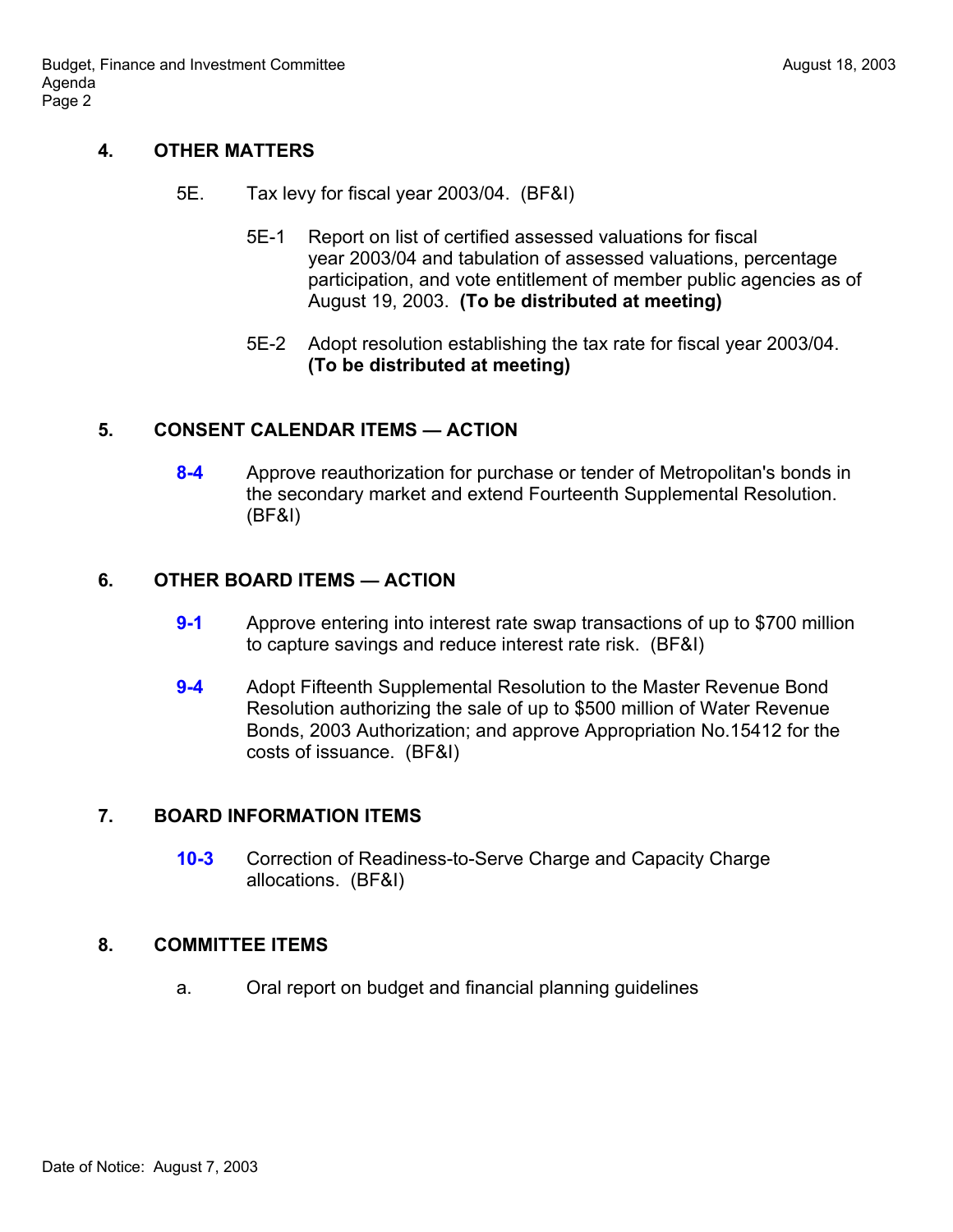## **4. OTHER MATTERS**

- 5E. Tax levy for fiscal year 2003/04. (BF&I)
	- 5E-1 Report on list of certified assessed valuations for fiscal year 2003/04 and tabulation of assessed valuations, percentage participation, and vote entitlement of member public agencies as of August 19, 2003. **(To be distributed at meeting)**
	- 5E-2 Adopt resolution establishing the tax rate for fiscal year 2003/04. **(To be distributed at meeting)**

### **5. CONSENT CALENDAR ITEMS — ACTION**

**8-4** Approve reauthorization for purchase or tender of Metropolitan's bonds in the secondary market and extend Fourteenth Supplemental Resolution. (BF&I)

### **6. OTHER BOARD ITEMS — ACTION**

- **9-1** Approve entering into interest rate swap transactions of up to \$700 million to capture savings and reduce interest rate risk. (BF&I)
- **9-4** Adopt Fifteenth Supplemental Resolution to the Master Revenue Bond Resolution authorizing the sale of up to \$500 million of Water Revenue Bonds, 2003 Authorization; and approve Appropriation No.15412 for the costs of issuance. (BF&I)

### **7. BOARD INFORMATION ITEMS**

**10-3** Correction of Readiness-to-Serve Charge and Capacity Charge allocations. (BF&I)

### **8. COMMITTEE ITEMS**

a. Oral report on budget and financial planning guidelines